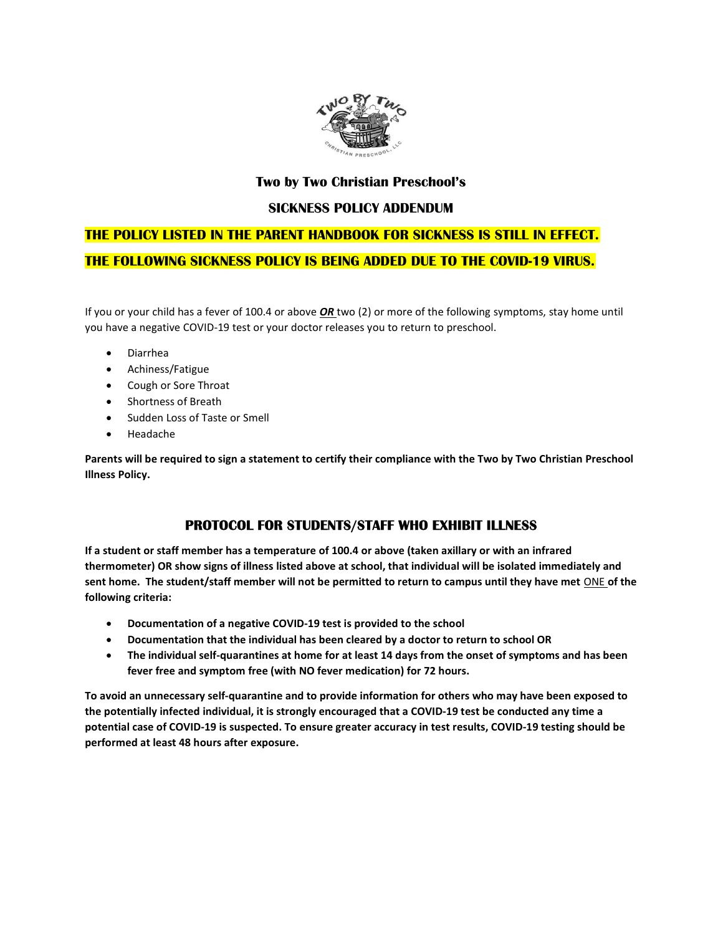

#### Two by Two Christian Preschool's

#### SICKNESS POLICY ADDENDUM

# THE POLICY LISTED IN THE PARENT HANDBOOK FOR SICKNESS IS STILL IN EFFECT. THE FOLLOWING SICKNESS POLICY IS BEING ADDED DUE TO THE COVID-19 VIRUS.

If you or your child has a fever of 100.4 or above **OR** two (2) or more of the following symptoms, stay home until you have a negative COVID-19 test or your doctor releases you to return to preschool.

- Diarrhea
- Achiness/Fatigue
- Cough or Sore Throat
- Shortness of Breath
- Sudden Loss of Taste or Smell
- Headache

Parents will be required to sign a statement to certify their compliance with the Two by Two Christian Preschool Illness Policy.

### PROTOCOL FOR STUDENTS/STAFF WHO EXHIBIT ILLNESS

If a student or staff member has a temperature of 100.4 or above (taken axillary or with an infrared thermometer) OR show signs of illness listed above at school, that individual will be isolated immediately and sent home. The student/staff member will not be permitted to return to campus until they have met ONE of the following criteria:

- Documentation of a negative COVID-19 test is provided to the school
- Documentation that the individual has been cleared by a doctor to return to school OR
- The individual self-quarantines at home for at least 14 days from the onset of symptoms and has been fever free and symptom free (with NO fever medication) for 72 hours.

To avoid an unnecessary self-quarantine and to provide information for others who may have been exposed to the potentially infected individual, it is strongly encouraged that a COVID-19 test be conducted any time a potential case of COVID-19 is suspected. To ensure greater accuracy in test results, COVID-19 testing should be performed at least 48 hours after exposure.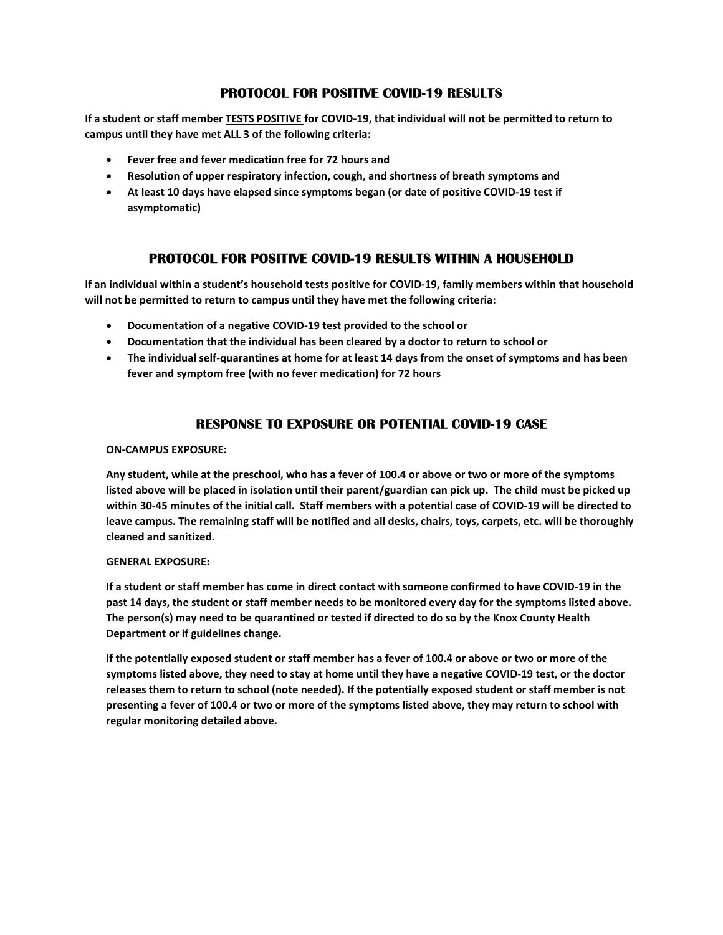## PROTOCOL FOR POSITIVE COVID-19 RESULTS

If a student or staff member TESTS POSITIVE for COVID-19, that individual will not be permitted to return to campus until they have met ALL 3 of the following criteria:

- Fever free and fever medication free for 72 hours and
- Resolution of upper respiratory infection, cough, and shortness of breath symptoms and
- At least 10 days have elapsed since symptoms began (or date of positive COVID-19 test if asymptomatic)

### PROTOCOL FOR POSITIVE COVID-19 RESULTS WITHIN A HOUSEHOLD

If an individual within a student's household tests positive for COVID-19, family members within that household will not be permitted to return to campus until they have met the following criteria:

- Documentation of a negative COVID-19 test provided to the school or
- Documentation that the individual has been cleared by a doctor to return to school or
- The individual self-quarantines at home for at least 14 days from the onset of symptoms and has been fever and symptom free (with no fever medication) for 72 hours

# RESPONSE TO EXPOSURE OR POTENTIAL COVID-19 CASE

#### ON-CAMPUS EXPOSURE:

Any student, while at the preschool, who has a fever of 100.4 or above or two or more of the symptoms listed above will be placed in isolation until their parent/guardian can pick up. The child must be picked up within 30-45 minutes of the initial call. Staff members with a potential case of COVID-19 will be directed to leave campus. The remaining staff will be notified and all desks, chairs, toys, carpets, etc. will be thoroughly cleaned and sanitized.

#### GENERAL EXPOSURE:

If a student or staff member has come in direct contact with someone confirmed to have COVID-19 in the past 14 days, the student or staff member needs to be monitored every day for the symptoms listed above. The person(s) may need to be quarantined or tested if directed to do so by the Knox County Health Department or if guidelines change.

If the potentially exposed student or staff member has a fever of 100.4 or above or two or more of the symptoms listed above, they need to stay at home until they have a negative COVID-19 test, or the doctor releases them to return to school (note needed). If the potentially exposed student or staff member is not presenting a fever of 100.4 or two or more of the symptoms listed above, they may return to school with regular monitoring detailed above.